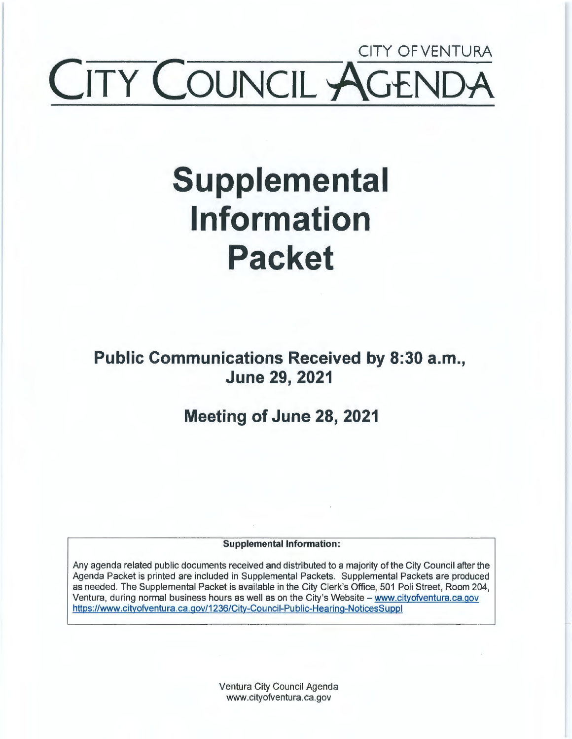## CITY OFVENTURA **COUNCIL ~**

# **Supplemental Information Packet**

**Public Communications Received by 8:30 a.m., June 29, 2021** 

**Meeting of June 28, 2021** 

**Supplemental Information:** 

Any agenda related public documents received and distributed to a majority of the City Council after the Agenda Packet is printed are included in Supplemental Packets. Supplemental Packets are produced as needed. The Supplemental Packet is available in the City Clerk's Office, 501 Poli Street, Room 204, Ventura, during normal business hours as well as on the City's Website - www.cityofventura.ca.gov https://www.cityofventura.ca.gov/1236/City-Council-Public-Hearing-NoticesSuppl

> Ventura City Council Agenda www.cityofventura.ca.gov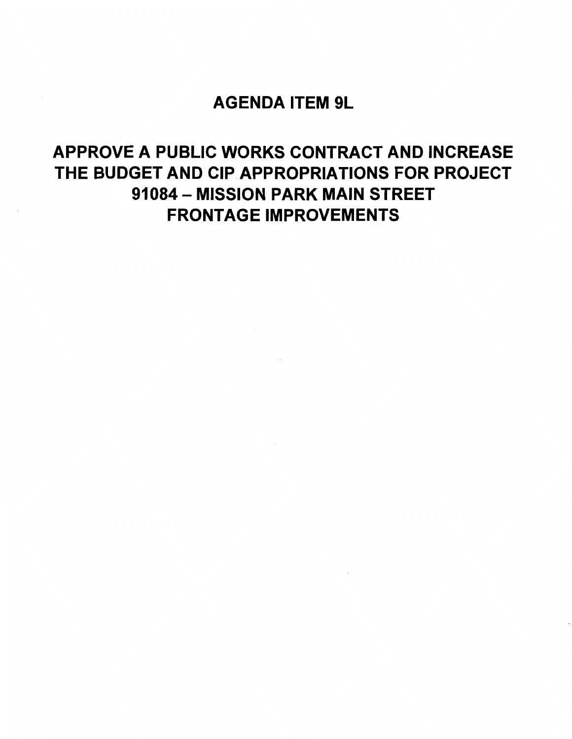### AGENDA ITEM 9L

## APPROVE A PUBLIC WORKS CONTRACT AND INCREASE THE BUDGET AND CIP APPROPRIATIONS FOR PROJECT 91084 - MISSION PARK MAIN STREET FRONTAGE IMPROVEMENTS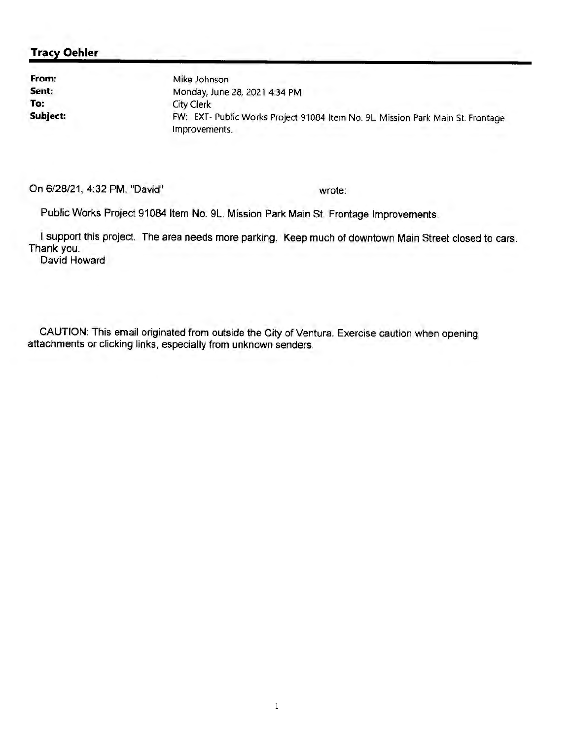#### **Tracy Oehler**

**From: Sent: To: Subject:**  Mike Johnson Monday, June 28, 2021 4:34 PM City Clerk FW: -EXT- Public Works Project 91084 Item No. 9L. Mission Park Main St. Frontage Improvements.

On 6/28/21, 4:32 PM, "David"

wrote:

Public Works Project 91084 Item No. 9L. Mission Park Main St. Frontage Improvements.

I support this project. The area needs more parking. Keep much of downtown Main Street closed to cars. Thank you.

David Howard

CAUTION: This email originated from outside the City of Ventura. Exercise caution when opening attachments or clicking links, especially from unknown senders.